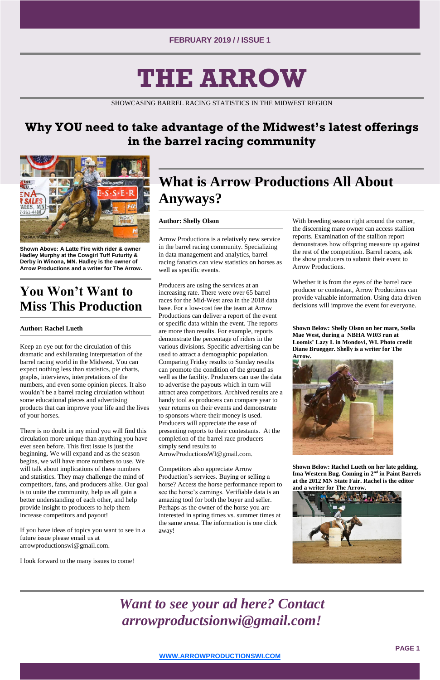**PAGE 1**

**[WWW.ARROWPRODUCTIONSWI.COM](http://www.arrowproductionswi.com/)**

# **THE ARROW**

SHOWCASING BARREL RACING STATISTICS IN THE MIDWEST REGION

### **Why YOU need to take advantage of the Midwest's latest offerings in the barrel racing community**



**Shown Above: A Latte Fire with rider & owner Hadley Murphy at the Cowgirl Tuff Futurity & Derby in Winona, MN. Hadley is the owner of Arrow Productions and a writer for The Arrow.** 

### **You Won't Want to Miss This Production**

#### **Author: Rachel Lueth**

Keep an eye out for the circulation of this dramatic and exhilarating interpretation of the barrel racing world in the Midwest. You can expect nothing less than statistics, pie charts, graphs, interviews, interpretations of the numbers, and even some opinion pieces. It also wouldn't be a barrel racing circulation without some educational pieces and advertising products that can improve your life and the lives of your horses.

There is no doubt in my mind you will find this circulation more unique than anything you have ever seen before. This first issue is just the beginning. We will expand and as the season begins, we will have more numbers to use. We will talk about implications of these numbers and statistics. They may challenge the mind of competitors, fans, and producers alike. Our goal is to unite the community, help us all gain a better understanding of each other, and help provide insight to producers to help them increase competitors and payout!

If you have ideas of topics you want to see in a future issue please email us at arrowproductionswi@gmail.com.

I look forward to the many issues to come!

# **What is Arrow Productions All About Anyways?**

#### **Author: Shelly Olson**

Arrow Productions is a relatively new service in the barrel racing community. Specializing in data management and analytics, barrel racing fanatics can view statistics on horses as well as specific events.

Producers are using the services at an increasing rate. There were over 65 barrel races for the Mid-West area in the 2018 data base. For a low-cost fee the team at Arrow Productions can deliver a report of the event or specific data within the event. The reports are more than results. For example, reports demonstrate the percentage of riders in the various divisions. Specific advertising can be used to attract a demographic population. Comparing Friday results to Sunday results can promote the condition of the ground as well as the facility. Producers can use the data to advertise the payouts which in turn will attract area competitors. Archived results are a handy tool as producers can compare year to year returns on their events and demonstrate to sponsors where their money is used. Producers will appreciate the ease of presenting reports to their contestants. At the completion of the barrel race producers simply send results to ArrowProductionsWI@gmail.com.

Competitors also appreciate Arrow Production's services. Buying or selling a horse? Access the horse performance report to see the horse's earnings. Verifiable data is an amazing tool for both the buyer and seller. Perhaps as the owner of the horse you are interested in spring times vs. summer times at the same arena. The information is one click away!

With breeding season right around the corner, the discerning mare owner can access stallion reports. Examination of the stallion report demonstrates how offspring measure up against the rest of the competition. Barrel racers, ask the show producers to submit their event to Arrow Productions.

Whether it is from the eyes of the barrel race producer or contestant, Arrow Productions can provide valuable information. Using data driven decisions will improve the event for everyone.

**Shown Below: Shelly Olson on her mare, Stella Mae West, during a NBHA WI03 run at Loomis' Lazy L in Mondovi, WI. Photo credit Diane Bruegger. Shelly is a writer for The Arrow.**



**Shown Below: Rachel Lueth on her late gelding, Ima Western Bug. Coming in 2nd in Paint Barrels at the 2012 MN State Fair. Rachel is the editor** 



## *Want to see your ad here? Contact arrowproductsionwi@gmail.com!*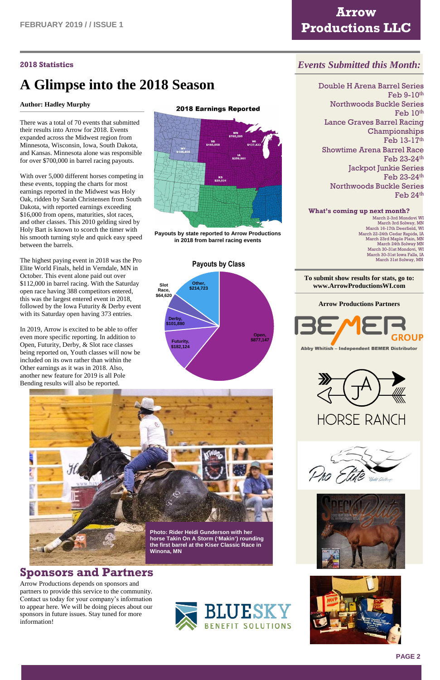

### **Arrow Productions LLC**

#### **2018 Statistics**

# **A Glimpse into the 2018 Season**

#### **Author: Hadley Murphy**

There was a total of 70 events that submitted their results into Arrow for 2018. Events expanded across the Midwest region from Minnesota, Wisconsin, Iowa, South Dakota, and Kansas. Minnesota alone was responsible for over \$700,000 in barrel racing payouts.

With over 5,000 different horses competing in these events, topping the charts for most earnings reported in the Midwest was Holy Oak, ridden by Sarah Christensen from South Dakota, with reported earnings exceeding \$16,000 from opens, maturities, slot races, and other classes. This 2010 gelding sired by Holy Bart is known to scorch the timer with his smooth turning style and quick easy speed between the barrels.

The highest paying event in 2018 was the Pro Elite World Finals, held in Verndale, MN in October. This event alone paid out over \$112,000 in barrel racing. With the Saturday open race having 388 competitors entered, this was the largest entered event in 2018, followed by the Iowa Futurity & Derby event with its Saturday open having 373 entries.

In 2019, Arrow is excited to be able to offer even more specific reporting. In addition to Open, Futurity, Derby, & Slot race classes being reported on, Youth classes will now be included on its own rather than within the Other earnings as it was in 2018. Also, another new feature for 2019 is all Pole Bending results will also be reported.

#### **2018 Earnings Reported**



**Payouts by state reported to Arrow Productions in 2018 from barrel racing events**

### *Events Submitted this Month:*

Double H Arena Barrel Series Feb 9-10th Northwoods Buckle Series Feb 10<sup>th</sup> Lance Graves Barrel Racing Championships Feb 13-17th Showtime Arena Barrel Race Feb 23-24th Jackpot Junkie Series Feb 23-24th Northwoods Buckle Series Feb 24th

#### **What's coming up next month?** March 2-3rd Mondovi WI

March 3rd Solway, MN March 16-17th Deerfield, WI March 22-24th Cedar Rapids, IA March 23rd Maple Plain, MN March 24th Solway MN March 30-31st Mondovi, WI March 30-31st Iowa Falls, IA March 31st Solway, MN

#### **To submit show results for stats, go to: www.ArrowProductionsWI.com**



Abby Whitish - Independent BEMER Distributor



**HORSE RANCH** 



### **Sponsors and Partners**

Arrow Productions depends on sponsors and partners to provide this service to the community. Contact us today for your company's information to appear here. We will be doing pieces about our sponsors in future issues. Stay tuned for more information!











#### **Payouts by Class**